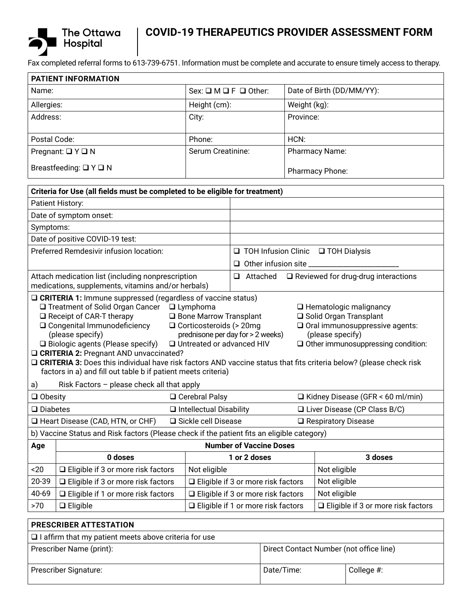

# **COVID-19 THERAPEUTICS PROVIDER ASSESSMENT FORM**

Fax completed referral forms to 613-739-6751. Information must be complete and accurate to ensure timely access to therapy.

| <b>PATIENT INFORMATION</b>       |                                           |                           |  |  |  |
|----------------------------------|-------------------------------------------|---------------------------|--|--|--|
| Name:                            | $Sex: \square M \square F \square Other:$ | Date of Birth (DD/MM/YY): |  |  |  |
| Allergies:                       | Height (cm):                              | Weight (kg):              |  |  |  |
| Address:                         | City:                                     | Province:                 |  |  |  |
| Postal Code:                     | Phone:                                    | HCN:                      |  |  |  |
| Pregnant: $\Box$ Y $\Box$ N      | Serum Creatinine:                         | Pharmacy Name:            |  |  |  |
| Breastfeeding: $\Box$ Y $\Box$ N |                                           | Pharmacy Phone:           |  |  |  |

| Criteria for Use (all fields must be completed to be eligible for treatment)                                                                                                                                                                                                                                                                                                                                                                                                                                                                                                                                                                                                                                                                                                                                     |                                |                                                |  |                                                            |  |
|------------------------------------------------------------------------------------------------------------------------------------------------------------------------------------------------------------------------------------------------------------------------------------------------------------------------------------------------------------------------------------------------------------------------------------------------------------------------------------------------------------------------------------------------------------------------------------------------------------------------------------------------------------------------------------------------------------------------------------------------------------------------------------------------------------------|--------------------------------|------------------------------------------------|--|------------------------------------------------------------|--|
| Patient History:                                                                                                                                                                                                                                                                                                                                                                                                                                                                                                                                                                                                                                                                                                                                                                                                 |                                |                                                |  |                                                            |  |
| Date of symptom onset:                                                                                                                                                                                                                                                                                                                                                                                                                                                                                                                                                                                                                                                                                                                                                                                           |                                |                                                |  |                                                            |  |
| Symptoms:                                                                                                                                                                                                                                                                                                                                                                                                                                                                                                                                                                                                                                                                                                                                                                                                        |                                |                                                |  |                                                            |  |
| Date of positive COVID-19 test:                                                                                                                                                                                                                                                                                                                                                                                                                                                                                                                                                                                                                                                                                                                                                                                  |                                |                                                |  |                                                            |  |
| Preferred Remdesivir infusion location:                                                                                                                                                                                                                                                                                                                                                                                                                                                                                                                                                                                                                                                                                                                                                                          |                                | $\Box$ TOH Infusion Clinic $\Box$ TOH Dialysis |  |                                                            |  |
|                                                                                                                                                                                                                                                                                                                                                                                                                                                                                                                                                                                                                                                                                                                                                                                                                  |                                | $\Box$ Other infusion site                     |  |                                                            |  |
| Attach medication list (including nonprescription<br>medications, supplements, vitamins and/or herbals)                                                                                                                                                                                                                                                                                                                                                                                                                                                                                                                                                                                                                                                                                                          |                                |                                                |  | $\Box$ Attached $\Box$ Reviewed for drug-drug interactions |  |
| □ CRITERIA 1: Immune suppressed (regardless of vaccine status)<br>$\Box$ Treatment of Solid Organ Cancer $\Box$ Lymphoma<br>$\Box$ Hematologic malignancy<br>$\Box$ Receipt of CAR-T therapy<br>□ Bone Marrow Transplant<br>□ Solid Organ Transplant<br>$\Box$ Oral immunosuppressive agents:<br>□ Congenital Immunodeficiency<br>$\Box$ Corticosteroids (> 20mg<br>prednisone per day for > 2 weeks)<br>(please specify)<br>(please specify)<br>□ Untreated or advanced HIV<br>$\Box$ Biologic agents (Please specify)<br>$\Box$ Other immunosuppressing condition:<br><b>Q CRITERIA 2: Pregnant AND unvaccinated?</b><br>□ CRITERIA 3: Does this individual have risk factors AND vaccine status that fits criteria below? (please check risk<br>factors in a) and fill out table b if patient meets criteria) |                                |                                                |  |                                                            |  |
| Risk Factors - please check all that apply<br>a)<br>$\Box$ Obesity<br>□ Cerebral Palsy                                                                                                                                                                                                                                                                                                                                                                                                                                                                                                                                                                                                                                                                                                                           |                                | $\Box$ Kidney Disease (GFR < 60 ml/min)        |  |                                                            |  |
| $\square$ Diabetes                                                                                                                                                                                                                                                                                                                                                                                                                                                                                                                                                                                                                                                                                                                                                                                               | $\Box$ Intellectual Disability |                                                |  | $\Box$ Liver Disease (CP Class B/C)                        |  |
| □ Sickle cell Disease<br>□ Heart Disease (CAD, HTN, or CHF)                                                                                                                                                                                                                                                                                                                                                                                                                                                                                                                                                                                                                                                                                                                                                      |                                |                                                |  | $\Box$ Respiratory Disease                                 |  |
| b) Vaccine Status and Risk factors (Please check if the patient fits an eligible category)                                                                                                                                                                                                                                                                                                                                                                                                                                                                                                                                                                                                                                                                                                                       |                                |                                                |  |                                                            |  |
| <b>Number of Vaccine Doses</b><br>Age                                                                                                                                                                                                                                                                                                                                                                                                                                                                                                                                                                                                                                                                                                                                                                            |                                |                                                |  |                                                            |  |
| 0 doses                                                                                                                                                                                                                                                                                                                                                                                                                                                                                                                                                                                                                                                                                                                                                                                                          |                                | 1 or 2 doses                                   |  | 3 doses                                                    |  |
| $20$<br>□ Eligible if 3 or more risk factors                                                                                                                                                                                                                                                                                                                                                                                                                                                                                                                                                                                                                                                                                                                                                                     | Not eligible                   |                                                |  | Not eligible                                               |  |
| □ Eligible if 3 or more risk factors<br>20-39                                                                                                                                                                                                                                                                                                                                                                                                                                                                                                                                                                                                                                                                                                                                                                    |                                | □ Eligible if 3 or more risk factors           |  | Not eligible                                               |  |
| 40-69<br>□ Eligible if 1 or more risk factors                                                                                                                                                                                                                                                                                                                                                                                                                                                                                                                                                                                                                                                                                                                                                                    |                                | □ Eligible if 3 or more risk factors           |  | Not eligible                                               |  |
| $\Box$ Eligible<br>>70                                                                                                                                                                                                                                                                                                                                                                                                                                                                                                                                                                                                                                                                                                                                                                                           |                                | □ Eligible if 1 or more risk factors           |  | □ Eligible if 3 or more risk factors                       |  |
| PRESCRIBER ATTESTATION                                                                                                                                                                                                                                                                                                                                                                                                                                                                                                                                                                                                                                                                                                                                                                                           |                                |                                                |  |                                                            |  |

| $\Box$ I affirm that my patient meets above criteria for use |                                         |            |  |  |  |
|--------------------------------------------------------------|-----------------------------------------|------------|--|--|--|
| Prescriber Name (print):                                     | Direct Contact Number (not office line) |            |  |  |  |
| Prescriber Signature:                                        | Date/Time:                              | College #: |  |  |  |